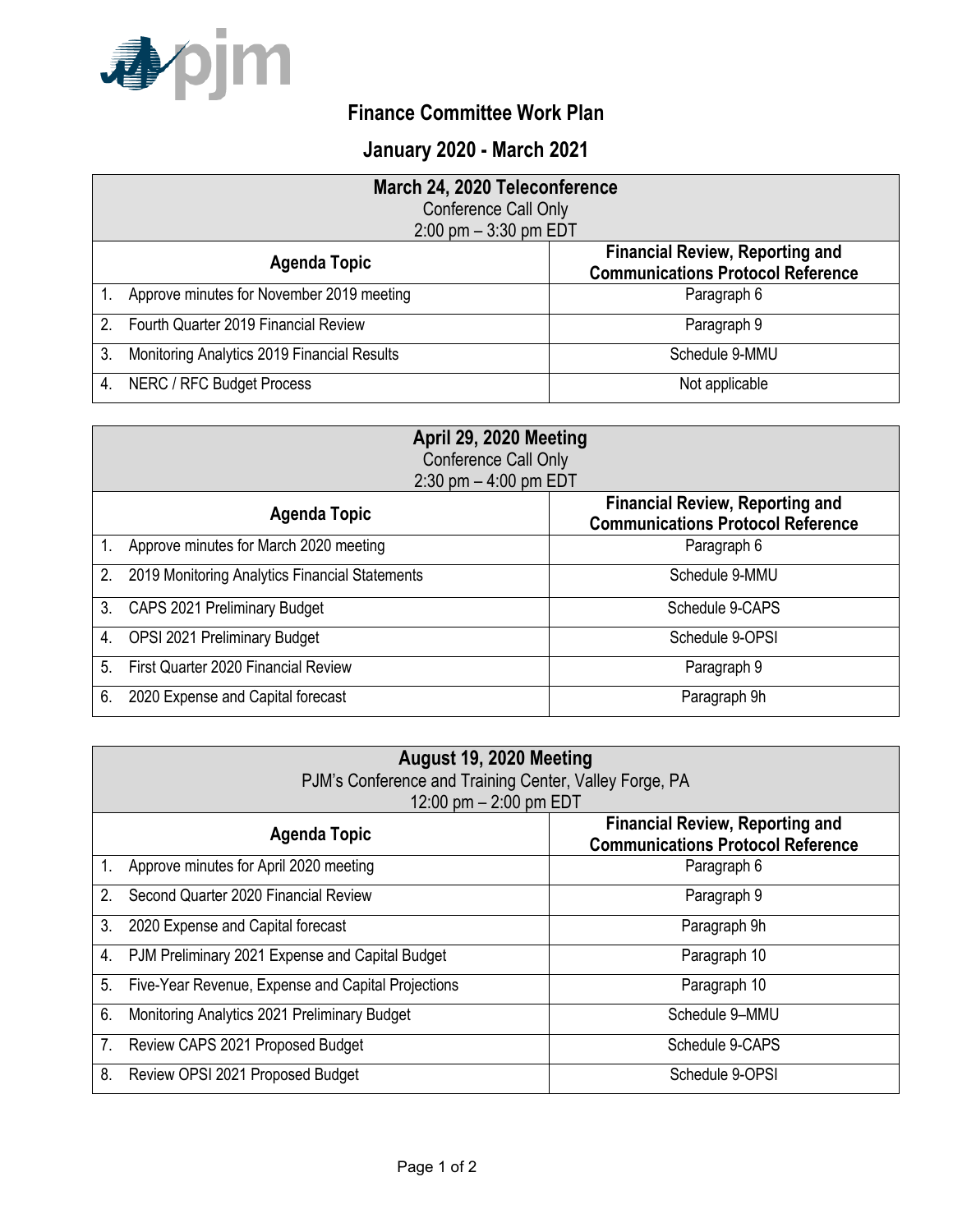

## **Finance Committee Work Plan**

## **January 2020 - March 2021**

| March 24, 2020 Teleconference |                                             |                                                                                    |
|-------------------------------|---------------------------------------------|------------------------------------------------------------------------------------|
|                               | Conference Call Only                        |                                                                                    |
| $2:00$ pm $-3:30$ pm EDT      |                                             |                                                                                    |
|                               | <b>Agenda Topic</b>                         | <b>Financial Review, Reporting and</b><br><b>Communications Protocol Reference</b> |
|                               | Approve minutes for November 2019 meeting   | Paragraph 6                                                                        |
| $\mathcal{P}$                 | Fourth Quarter 2019 Financial Review        | Paragraph 9                                                                        |
| 3.                            | Monitoring Analytics 2019 Financial Results | Schedule 9-MMU                                                                     |
|                               | NERC / RFC Budget Process                   | Not applicable                                                                     |

| April 29, 2020 Meeting<br>Conference Call Only<br>$2:30$ pm $-4:00$ pm EDT |                                                |                                                                                    |
|----------------------------------------------------------------------------|------------------------------------------------|------------------------------------------------------------------------------------|
|                                                                            | <b>Agenda Topic</b>                            | <b>Financial Review, Reporting and</b><br><b>Communications Protocol Reference</b> |
|                                                                            | Approve minutes for March 2020 meeting         | Paragraph 6                                                                        |
| 2.                                                                         | 2019 Monitoring Analytics Financial Statements | Schedule 9-MMU                                                                     |
| 3.                                                                         | CAPS 2021 Preliminary Budget                   | Schedule 9-CAPS                                                                    |
| 4.                                                                         | OPSI 2021 Preliminary Budget                   | Schedule 9-OPSI                                                                    |
| 5                                                                          | First Quarter 2020 Financial Review            | Paragraph 9                                                                        |
| 6.                                                                         | 2020 Expense and Capital forecast              | Paragraph 9h                                                                       |

| August 19, 2020 Meeting<br>PJM's Conference and Training Center, Valley Forge, PA<br>12:00 pm $-$ 2:00 pm EDT |                                                    |                                                                                    |
|---------------------------------------------------------------------------------------------------------------|----------------------------------------------------|------------------------------------------------------------------------------------|
|                                                                                                               | <b>Agenda Topic</b>                                | <b>Financial Review, Reporting and</b><br><b>Communications Protocol Reference</b> |
| $1_{\cdot}$                                                                                                   | Approve minutes for April 2020 meeting             | Paragraph 6                                                                        |
| 2.                                                                                                            | Second Quarter 2020 Financial Review               | Paragraph 9                                                                        |
| 3.                                                                                                            | 2020 Expense and Capital forecast                  | Paragraph 9h                                                                       |
| 4.                                                                                                            | PJM Preliminary 2021 Expense and Capital Budget    | Paragraph 10                                                                       |
| 5 <sub>1</sub>                                                                                                | Five-Year Revenue, Expense and Capital Projections | Paragraph 10                                                                       |
| 6.                                                                                                            | Monitoring Analytics 2021 Preliminary Budget       | Schedule 9-MMU                                                                     |
| 7.                                                                                                            | Review CAPS 2021 Proposed Budget                   | Schedule 9-CAPS                                                                    |
| 8.                                                                                                            | Review OPSI 2021 Proposed Budget                   | Schedule 9-OPSI                                                                    |